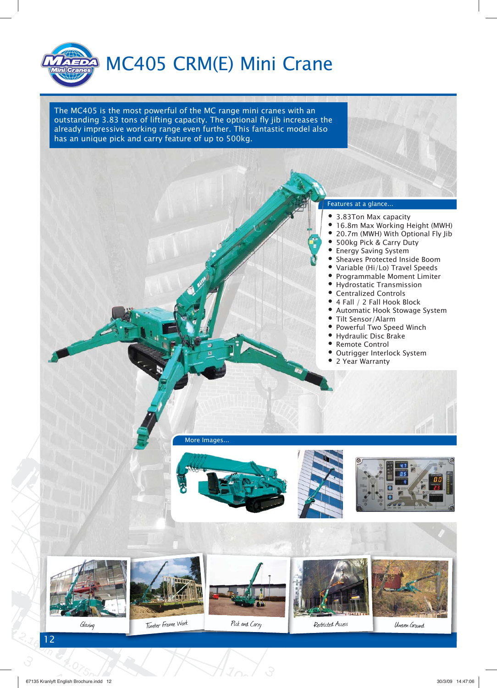

The MC405 is the most powerful of the MC range mini cranes with an outstanding 3.83 tons of lifting capacity. The optional fly jib increases the already impressive working range even further. This fantastic model also has an unique pick and carry feature of up to 500kg.

#### Features at a glance... Fe

- 3.83Ton Max capacity
- 16.8m Max Working Height (MWH)
- 20.7m (MWH) With Optional Fly Jib
- 500kg Pick & Carry Duty
- Energy Saving System
- Sheaves Protected Inside Boom
- Variable (Hi/Lo) Travel Speeds
- Programmable Moment Limiter
- Hydrostatic Transmission
- Centralized Controls
- 4 Fall / 2 Fall Hook Block
- Automatic Hook Stowage System
- Tilt Sensor/Alarm
- Powerful Two Speed Winch
- Hydraulic Disc Brake
- Remote Control
- Outrigger Interlock System
- 2 Year Warranty

More Images...

















Uneven Ground

12